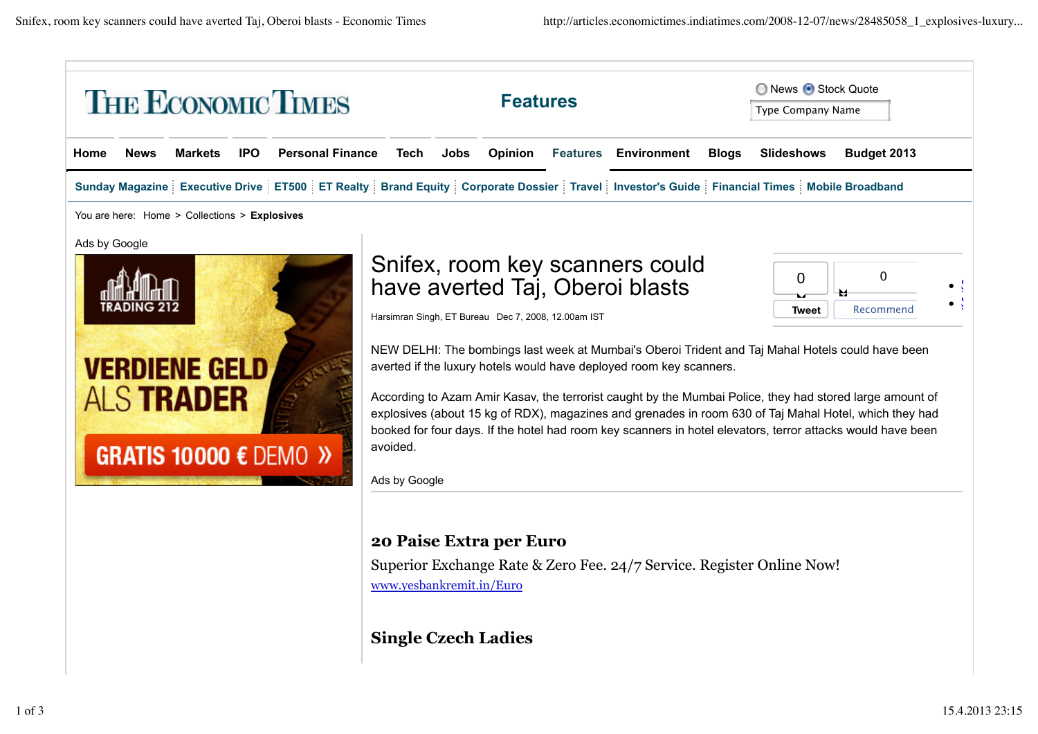